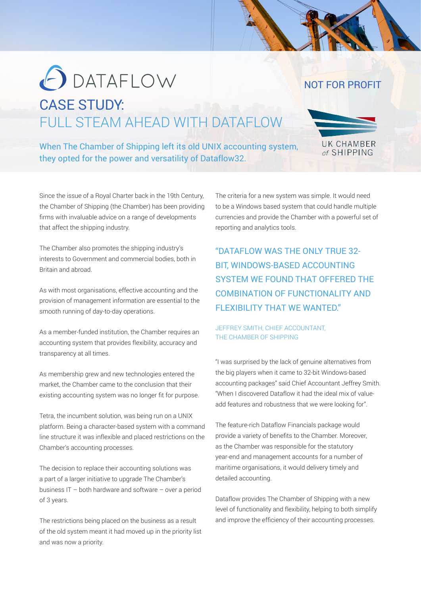# **O** DATAFLOW CASE STUDY: FULL STEAM AHEAD WITH DATAFLOW

When The Chamber of Shipping left its old UNIX accounting system, they opted for the power and versatility of Dataflow32.

> The criteria for a new system was simple. It would need to be a Windows based system that could handle multiple currencies and provide the Chamber with a powerful set of reporting and analytics tools.

The Chamber also promotes the shipping industry's interests to Government and commercial bodies, both in Britain and abroad.

that affect the shipping industry.

Since the issue of a Royal Charter back in the 19th Century, the Chamber of Shipping (the Chamber) has been providing firms with invaluable advice on a range of developments

As with most organisations, effective accounting and the provision of management information are essential to the smooth running of day-to-day operations.

As a member-funded institution, the Chamber requires an accounting system that provides flexibility, accuracy and transparency at all times.

As membership grew and new technologies entered the market, the Chamber came to the conclusion that their existing accounting system was no longer fit for purpose.

Tetra, the incumbent solution, was being run on a UNIX platform. Being a character-based system with a command line structure it was inflexible and placed restrictions on the Chamber's accounting processes.

The decision to replace their accounting solutions was a part of a larger initiative to upgrade The Chamber's business IT – both hardware and software – over a period of 3 years.

The restrictions being placed on the business as a result of the old system meant it had moved up in the priority list and was now a priority.

"DATAFLOW WAS THE ONLY TRUE 32- BIT, WINDOWS-BASED ACCOUNTING SYSTEM WE FOUND THAT OFFERED THE COMBINATION OF FUNCTIONALITY AND FLEXIBILITY THAT WE WANTED."

### JEFFREY SMITH, CHIEF ACCOUNTANT, THE CHAMBER OF SHIPPING

"I was surprised by the lack of genuine alternatives from the big players when it came to 32-bit Windows-based accounting packages" said Chief Accountant Jeffrey Smith. "When I discovered Dataflow it had the ideal mix of valueadd features and robustness that we were looking for".

The feature-rich Dataflow Financials package would provide a variety of benefits to the Chamber. Moreover, as the Chamber was responsible for the statutory year-end and management accounts for a number of maritime organisations, it would delivery timely and detailed accounting.

Dataflow provides The Chamber of Shipping with a new level of functionality and flexibility, helping to both simplify and improve the efficiency of their accounting processes.



UK CHAMBER of SHIPPING

NOT FOR PROFIT